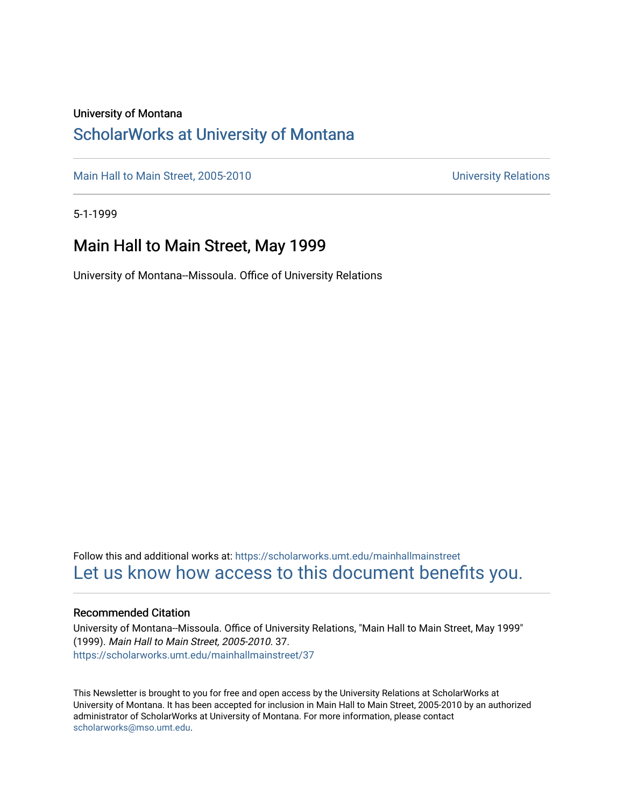#### University of Montana

#### [ScholarWorks at University of Montana](https://scholarworks.umt.edu/)

[Main Hall to Main Street, 2005-2010](https://scholarworks.umt.edu/mainhallmainstreet) Main Hall to Main Street, 2005-2010

5-1-1999

#### Main Hall to Main Street, May 1999

University of Montana--Missoula. Office of University Relations

Follow this and additional works at: [https://scholarworks.umt.edu/mainhallmainstreet](https://scholarworks.umt.edu/mainhallmainstreet?utm_source=scholarworks.umt.edu%2Fmainhallmainstreet%2F37&utm_medium=PDF&utm_campaign=PDFCoverPages) [Let us know how access to this document benefits you.](https://goo.gl/forms/s2rGfXOLzz71qgsB2) 

#### Recommended Citation

University of Montana--Missoula. Office of University Relations, "Main Hall to Main Street, May 1999" (1999). Main Hall to Main Street, 2005-2010. 37. [https://scholarworks.umt.edu/mainhallmainstreet/37](https://scholarworks.umt.edu/mainhallmainstreet/37?utm_source=scholarworks.umt.edu%2Fmainhallmainstreet%2F37&utm_medium=PDF&utm_campaign=PDFCoverPages) 

This Newsletter is brought to you for free and open access by the University Relations at ScholarWorks at University of Montana. It has been accepted for inclusion in Main Hall to Main Street, 2005-2010 by an authorized administrator of ScholarWorks at University of Montana. For more information, please contact [scholarworks@mso.umt.edu.](mailto:scholarworks@mso.umt.edu)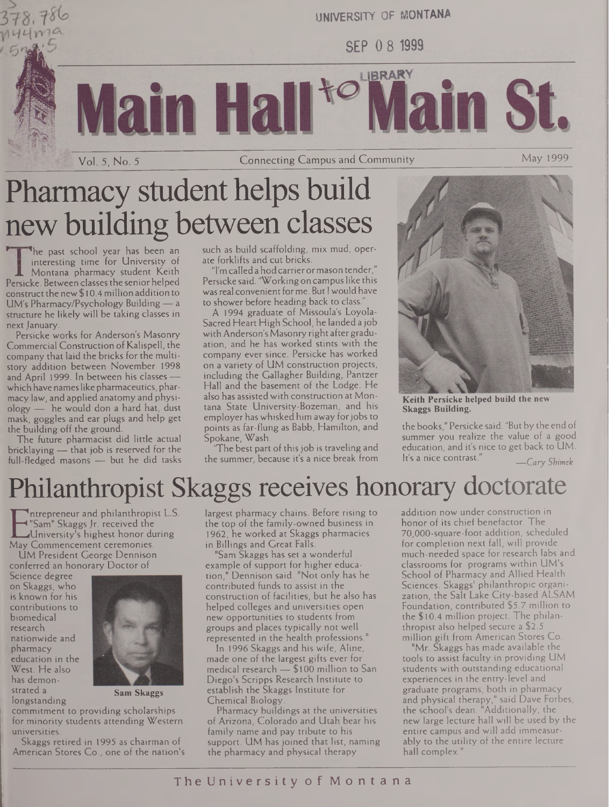

 $144$ me

Vol. 5, No. 5 Connecting Campus and Community\_\_\_\_\_\_\_\_\_\_\_\_\_\_ May 1999

# Pharmacy student helps build new building between classes

he past school year has been an interesting time for University of Montana pharmacy student Keith Persicke. Between classesthe senior helped construct the new \$ 10.4 million addition to UM's Pharmacy/Psychology Building— a structure he likely will be taking classes in next January

Persicke works for Anderson's Masonry Commercial Construction of Kalispell, the company that laid the bricks for the multistory addition between November 1998 and April 1999. In between his classes which have nameslike pharmaceutics, pharmacy law, and applied anatomy and physiology — he would don a hard hat, dust mask, goggles and ear plugs and help get the building off the ground.

The future pharmacist did little actual bricklaying — that job is reserved for the full-fledged masons — but he did tasks such as build scaffolding, mix mud, operate forklifts and cut bricks.

"I'm called a hodcarrierormason tender," Persicke said. "Working on campuslike this wasreal convenient forme. But <sup>I</sup> would have to shower before heading back to class.

A 1994 graduate of Missoula's Loyola-Sacred Heart High School, he landed a job with Anderson's Masonry right after graduation, and he has worked stints with the company ever since. Persicke has worked on a variety of UM construction projects, including the Gallagher Building, Pantzer Hall and the basement of the Lodge. He also has assisted with construction at Montana State University-Bozeman, and his employer has whisked him away forjobs to points as far-flung as Babb, Hamilton, and Spokane, Wash.

The best part of this job is traveling and the summer, because it's a nice break from



**Keith Persicke helped build the new Skaggs Building.**

the books," Persicke said. "But by the end of summer you realize the value of a good education, and it's nice to get back to UM. It's <sup>a</sup> nice contrast." *\_Cary Sbim'k*

# Philanthropist Skaggs receives honorary doctorate

E Sam" Skaggs Jr. received the<br>May Commencement ceremonies.<br>LIM President George Dennison Intrepreneur and philanthropist L.S. "Sam" SkaggsJr. received the University's highest honor during

UM President George Dennison conferred an honorary Doctor of

Science degree on Skaggs, who is known for his contributions to biomedical research nationwide and pharmacy education in the West. He also has demonstrated a longstanding



**Sam Skaggs**

commitment to providing scholarships for minority students attending Western universities.

Skaggs retired in 1995 as chairman of American Stores Co., one of the nation's largest pharmacy chains. Before rising to the top of the family-owned business in 1962, he worked at Skaggs pharmacies in Billings and Great Falls.

"Sam Skaggs has set a wonderful example of support for higher education," Dennison said. "Not only has he contributed funds to assist in the construction of facilities, but he also has helped colleges and universities open new opportunities to students from groups and places typically not well represented in the health professions."

In 1996 Skaggs and his wife, Aline, made one of the largest gifts ever for medical research — \$100 million to San Diego's Scripps Research Institute to establish the Skaggs Institute for Chemical Biology.

Pharmacy buildings at the universities of Arizona, Colorado and Utah bear his family name and pay tribute to his support. UM has joined that list, naming the pharmacy and physical therapy

addition now under construction in honor of its chief benefactor. The 70,000-square-foot addition, scheduled for completion next fall, will provide much-needed space for research labs and classrooms for programs within UM's School of Pharmacy and Allied Health Sciences. Skaggs' philanthropic organization, the Salt Lake City-based ALSAM Foundation, contributed \$5.7 million to the \$10.4 million project. The philanthropist also helped secure a \$2.5 million gift from American Stores Co.

"Mr. Skaggs has made available the tools to assist faculty in providing UM students with outstanding educational experiences in the entry-level and graduate programs, both in pharmacy and physical therapy," said Dave Forbes, the school's dean. "Additionally, the new large lecture hall will be used by the entire campus and will add immeasurably to the utility of the entire lecture hall complex."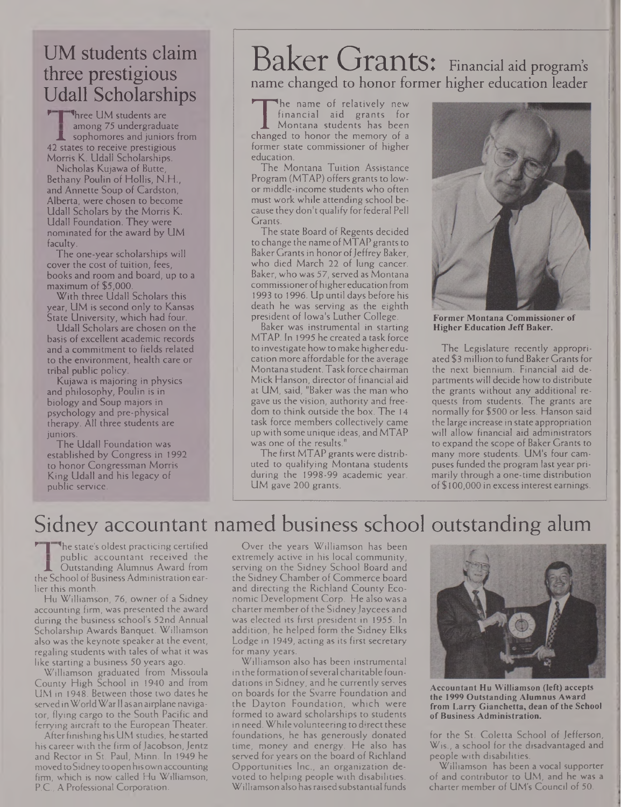#### UM students claim three prestigious Udall Scholarships

**Three UM students are** among 75 undergraduate sophomores and juniors from 42 states to receive prestigious Morris K. Udall Scholarships.

Nicholas Kujawa of Butte, Bethany Poulin of Hollis, N.H., and Annette Soup of Cardston, Alberta, were chosen to become Udall Scholars by the Morris K. Udall Foundation. They were nominated for the award by UM faculty.

The one-year scholarships will cover the cost of tuition, fees, books and room and board, up to a maximum of \$5,000.

With three Udall Scholars this year, UM is second only to Kansas State University, which had four.

Udall Scholars are chosen on the basis of excellent academic records and a commitment to fields related to the environment, health care or tribal public policy.

Kujawa is majoring in physics and philosophy, Poulin is in biology and Soup majors in psychology and pre-physical therapy. All three students are juniors.

The Udall Foundation was established by Congress in 1992 to honor Congressman Morris King Udall and his legacy of public service.

## Baker Grants: Financial aid program'<sup>s</sup> name changed to honor former higher education leader

The name of relatively fiew<br>financial aid grants for<br>changed to honor the memory of a<br>former state commissioner of higher he name of relatively new financial aid grants for Montana students has been changed to honor the memory of a education.

The Montana Tuition Assistance Program (MTAP) offers grants to lowor middle-income students who often must work while attending school because they don't qualify for federal Pell Grants.

The state Board of Regents decided to change the name of MTAP grants to Baker Grants in honor of Jeffrey Baker, who died March 22 of lung cancer. Baker, who was 57, served as Montana commissionerofhighereducation from 1993 to 1996. Up until days before his death he was serving as the eighth president of Iowa's Luther College.

Baker was instrumental in starting MTAP. In 1995 he created a task force to investigate how to make higher education more affordable for the average Montana student. Task force chairman Mick Hanson, director of financial aid at UM, said, "Baker was the man who gave us the vision, authority and freedom to think outside the box. The 14 task force members collectively came up with some unique ideas, and MTAP was one of the results."

The first MTAP grants were distributed to qualifying Montana students during the 1998-99 academic year. UM gave 200 grants.



**Former Montana Commissioner of Higher Education JeffBaker.**

The Legislature recently appropriated \$3 million to fund Baker Grants for the next biennium. Financial aid departments will decide howto distribute the grants without any additional requests from students. The grants are normally for \$500 or less. Hanson said the large increase in state appropriation will allow financial aid administrators to expand the scope of Baker Grants to many more students. UM's four campuses funded the program last year primarily through a one-time distribution of \$100,000 in excess interest earnings.

#### Sidney accountant named business school outstanding alum

The state's oldest practicing certified public accountant received the Outstanding Alumnus Award from the School of Business Administration earlier this month.

Hu Williamson, 76, owner of a Sidney accounting firm, was presented the award during the business school's 52nd Annual Scholarship Awards Banquet. Williamson also was the keynote speaker at the event, regaling students with tales of what it was like starting a business 50 years ago.

Williamson graduated from Missoula County High School in 1940 and from UM in 1948. Between those two dates he servedinWorldWarII as an airplane navigator, flying cargo to the South Pacific and ferrying aircraft to the European Theater.

AfterfinishinghisUM studies, hestarted his career with the firm of Jacobson, Jentz and Rector in St. Paul, Minn. In 1949 he movedtoSidneytoopenhisown accounting firm, which is now called Hu Williamson, P.C., A Professional Corporation.

Over the years Williamson has been extremely active in his local community, serving on the Sidney School Board and the Sidney Chamber of Commerce board and directing the Richland County Economic Development Corp. He also was a charter member of the Sidney Jaycees and was elected its first president in 1955. In addition, he helped form the Sidney Elks Lodge in 1949, acting as its first secretary for many years.

Williamson also has been instrumental in the formation of several charitable foundations in Sidney, and he currently serves on boards for the Svarre Foundation and the Dayton Foundation, which were formed to award scholarships to students in need. While volunteering to direct these foundations, he has generously donated time, money and energy. He also has served for years on the board of Richland Opportunities Inc., an organization devoted to helping people with disabilities. Williamson also hasraisedsubstantial funds



**Accountant Hu Williamson (left) accepts the 1999 Outstanding Alumnus Award from Larry Gianchetta, dean ofthe School ofBusiness Administration.**

for the St. Coletta School of Jefferson, Wis., a school for the disadvantaged and people with disabilities.

Williamson has been a vocal supporter of and contributor to UM, and he was a charter member of UM's Council of 50.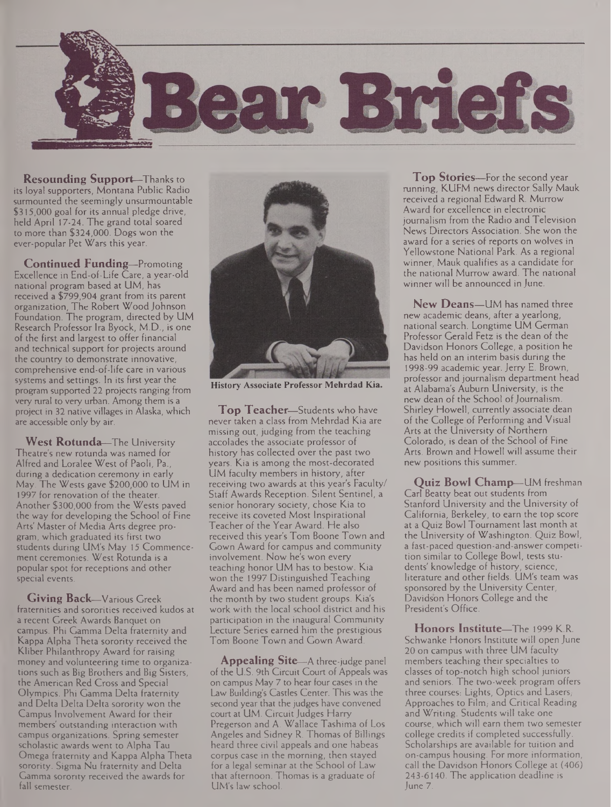

**Resounding Support—**Thanks to its loyal supporters, Montana Public Radio surmounted the seemingly unsurmountable \$315,000 goal for its annual pledge drive, held April 17-24. The grand total soared to more than \$324,000. Dogs won the ever-popular Pet Wars this year.

**Continued Funding—**Promoting Excellence in End-of-Life Care, a year-old national program based at UM, has received a \$799,904 grant from its parent organization, The Robert Wood Johnson Foundation. The program, directed by UM Research Professor Ira Byock, M.D., is one of the first and largest to offer financial and technical support for projects around the country to demonstrate innovative, comprehensive end-of-life care in various systems and settings. In its first year the program supported 22 projects ranging from very rural to very urban. Among them is a project in 32 native villages in Alaska, which are accessible only by air.

**West Rotunda—**The University Theatre's new rotunda was named for Alfred and Loralee West of Paoli, Pa., during a dedication ceremony in early May. The Wests gave \$200,000 to UM in 1997 for renovation of the theater. Another \$300,000 from the Wests paved the way for developing the School of Fine Arts' Master of Media Arts degree program, which graduated its first two students during UM's May 15 Commencement ceremonies. West Rotunda is a popular spot for receptions and other special events.

**Giving Back—**Various Greek fraternities and sororities received kudos at a recent Greek Awards Banquet on campus. Phi Gamma Delta fraternity and Kappa Alpha Theta sorority received the Kliber Philanthropy Award for raising money and volunteering time to organizations such as Big Brothers and Big Sisters, the American Red Cross and Special Olympics. Phi Gamma Delta fraternity and Delta Delta Delta sorority won the Campus Involvement Award for their members' outstanding interaction with campus organizations. Spring semester scholastic awards went to Alpha Tau Omega fraternity and Kappa Alpha Theta sorority. Sigma Nu fraternity and Delta Gamma sorority received the awards for fall semester.



**History Associate Professor Mehrdad Kia.**

**Top Teacher—**Students who have never taken a class from Mehrdad Kia are missing out, judging from the teaching accolades the associate professor of history has collected over the past two years. Kia is among the most-decorated UM faculty members in history, after receiving two awards at this year's Faculty/ Staff Awards Reception. Silent Sentinel, a senior honorary society, chose Kia to receive its coveted Most Inspirational Teacher of the Year Award. He also received this year's Tom Boone Town and Gown Award for campus and community involvement. Now he's won every teaching honor UM has to bestow. Kia won the 1997 Distinguished Teaching Award and has been named professor of the month by two student groups. Kia's work with the local school district and his participation in the inaugural Community Lecture Series earned him the prestigious Tom Boone Town and Gown Award.

**Appealing Site—**A three-judge panel of the U.S. 9th Circuit Court of Appeals was on campus May 7 to hear four cases in the Law Building's Castles Center. This was the second year that the judges have convened court at UM. Circuit Judges Harry Pregerson and A. Wallace Tashima of Los Angeles and Sidney R. Thomas of Billings heard three civil appeals and one habeas corpus case in the morning, then stayed for a legal seminar at the School of Law that afternoon. Thomas is a graduate of UM's law school.

**Top Stories—**For the second year running, KUFM news director Sally Mauk received a regional Edward R. Murrow Award for excellence in electronic journalism from the Radio and Television News Directors Association. She won the award for a series of reports on wolves in Yellowstone National Park. As a regional winner, Mauk qualifies as a candidate for the national Murrow award. The national winner will be announced in June.

**New Deans—**UM has named three new academic deans, after a yearlong, national search. Longtime UM German Professor Gerald Fetz is the dean of the Davidson Honors College, a position he has held on an interim basis during the 1998-99 academic year. Jerry E. Brown, professor and journalism department head at Alabama's Auburn University, is the new dean of the School of Journalism. Shirley Howell, currently associate dean of the College of Performing and Visual Arts at the University of Northern Colorado, is dean of the School of Fine Arts. Brown and Howell will assume their new positions this summer.

**Quiz Bowl Champ—**UM freshman Carl Beatty beat out students from Stanford University and the University of California, Berkeley, to earn the top score at a Quiz Bowl Tournament last month at the University of Washington. Quiz Bowl, a fast-paced question-and-answer competition similar to College Bowl, tests students' knowledge of history, science, literature and other fields. UM's team was sponsored by the University Center, Davidson Honors College and the President's Office.

**Honors Institute—**The 1999 K.R. Schwanke Honors Institute will open June 20 on campus with three UM faculty members teaching their specialties to classes of top-notch high school juniors and seniors. The two-week program offers three courses: Lights, Optics and Lasers, Approaches to Film, and Critical Reading and Writing. Students will take one course, which will earn them two semester college credits if completed successfully. Scholarships are available for tuition and on-campus housing. For more information, call the Davidson Honors College at (406) 243-6140. The application deadline is June 7.